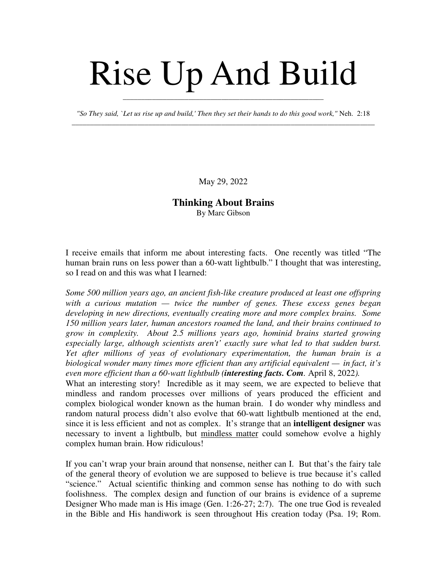## Rise Up And Build

*"So They said, `Let us rise up and build,' Then they set their hands to do this good work,"* Neh. 2:18 \_\_\_\_\_\_\_\_\_\_\_\_\_\_\_\_\_\_\_\_\_\_\_\_\_\_\_\_\_\_\_\_\_\_\_\_\_\_\_\_\_\_\_\_\_\_\_\_\_\_\_\_\_\_\_\_\_\_\_\_\_\_\_\_\_\_\_\_\_\_\_\_\_\_\_\_\_\_\_\_\_\_\_

\_\_\_\_\_\_\_\_\_\_\_\_\_\_\_\_\_\_\_\_\_\_\_\_\_\_\_\_\_\_\_\_\_\_\_\_\_\_\_\_\_\_\_\_\_\_\_\_\_\_\_\_\_\_\_

May 29, 2022

## **Thinking About Brains** By Marc Gibson

I receive emails that inform me about interesting facts. One recently was titled "The human brain runs on less power than a 60-watt lightbulb." I thought that was interesting, so I read on and this was what I learned:

*Some 500 million years ago, an ancient fish-like creature produced at least one offspring with a curious mutation — twice the number of genes. These excess genes began developing in new directions, eventually creating more and more complex brains. Some 150 million years later, human ancestors roamed the land, and their brains continued to grow in complexity. About 2.5 millions years ago, hominid brains started growing especially large, although scientists aren't' exactly sure what led to that sudden burst. Yet after millions of yeas of evolutionary experimentation, the human brain is a biological wonder many times more efficient than any artificial equivalent — in fact, it's even more efficient than a 60-watt lightbulb (interesting facts. Com.* April 8, 2022*).*

What an interesting story! Incredible as it may seem, we are expected to believe that mindless and random processes over millions of years produced the efficient and complex biological wonder known as the human brain. I do wonder why mindless and random natural process didn't also evolve that 60-watt lightbulb mentioned at the end, since it is less efficient and not as complex. It's strange that an **intelligent designer** was necessary to invent a lightbulb, but mindless matter could somehow evolve a highly complex human brain. How ridiculous!

If you can't wrap your brain around that nonsense, neither can I. But that's the fairy tale of the general theory of evolution we are supposed to believe is true because it's called "science." Actual scientific thinking and common sense has nothing to do with such foolishness. The complex design and function of our brains is evidence of a supreme Designer Who made man is His image (Gen. 1:26-27; 2:7). The one true God is revealed in the Bible and His handiwork is seen throughout His creation today (Psa. 19; Rom.